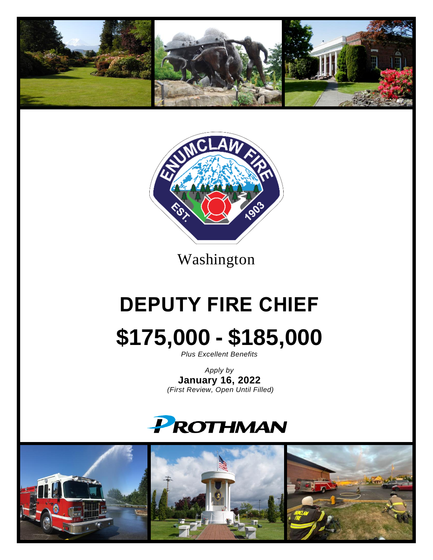



# Washington

# **DEPUTY FIRE CHIEF \$175,000 - \$185,000**

*Plus Excellent Benefits*

*Apply by* **January 16, 2022** *(First Review, Open Until Filled)*



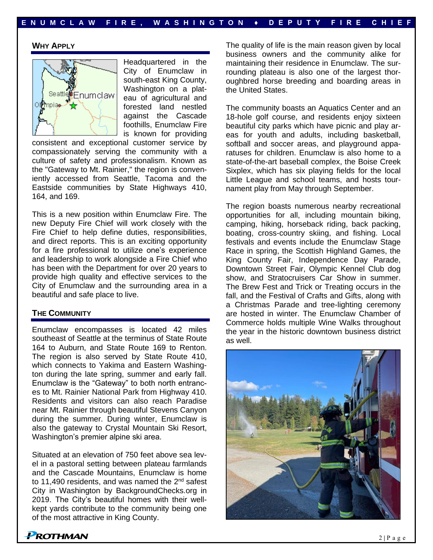# **WHY APPLY**



Headquartered in the City of Enumclaw in south-east King County, Washington on a plateau of agricultural and forested land nestled against the Cascade foothills, Enumclaw Fire is known for providing

consistent and exceptional customer service by compassionately serving the community with a culture of safety and professionalism. Known as the "Gateway to Mt. Rainier," the region is conveniently accessed from Seattle, Tacoma and the Eastside communities by State Highways 410, 164, and 169.

This is a new position within Enumclaw Fire. The new Deputy Fire Chief will work closely with the Fire Chief to help define duties, responsibilities, and direct reports. This is an exciting opportunity for a fire professional to utilize one's experience and leadership to work alongside a Fire Chief who has been with the Department for over 20 years to provide high quality and effective services to the City of Enumclaw and the surrounding area in a beautiful and safe place to live.

#### **THE COMMUNITY**

Enumclaw encompasses is located 42 miles southeast of Seattle at the terminus of State Route 164 to Auburn, and State Route 169 to Renton. The region is also served by State Route 410, which connects to Yakima and Eastern Washington during the late spring, summer and early fall. Enumclaw is the "Gateway" to both north entrances to Mt. Rainier National Park from Highway 410. Residents and visitors can also reach Paradise near Mt. Rainier through beautiful Stevens Canyon during the summer. During winter, Enumclaw is also the gateway to Crystal Mountain Ski Resort, Washington's premier alpine ski area.

Situated at an elevation of 750 feet above sea level in a pastoral setting between plateau farmlands and the Cascade Mountains, Enumclaw is home to 11,490 residents, and was named the 2<sup>nd</sup> safest City in Washington by BackgroundChecks.org in 2019. The City's beautiful homes with their wellkept yards contribute to the community being one of the most attractive in King County.

The quality of life is the main reason given by local business owners and the community alike for maintaining their residence in Enumclaw. The surrounding plateau is also one of the largest thoroughbred horse breeding and boarding areas in the United States.

The community boasts an Aquatics Center and an 18-hole golf course, and residents enjoy sixteen beautiful city parks which have picnic and play areas for youth and adults, including basketball, softball and soccer areas, and playground apparatuses for children. Enumclaw is also home to a state-of-the-art baseball complex, the Boise Creek Sixplex, which has six playing fields for the local Little League and school teams, and hosts tournament play from May through September.

The region boasts numerous nearby recreational opportunities for all, including mountain biking, camping, hiking, horseback riding, back packing, boating, cross-country skiing, and fishing. Local festivals and events include the Enumclaw Stage Race in spring, the Scottish Highland Games, the King County Fair, Independence Day Parade, Downtown Street Fair, Olympic Kennel Club dog show, and Stratocruisers Car Show in summer. The Brew Fest and Trick or Treating occurs in the fall, and the Festival of Crafts and Gifts, along with a Christmas Parade and tree-lighting ceremony are hosted in winter. The Enumclaw Chamber of Commerce holds multiple Wine Walks throughout the year in the historic downtown business district as well.



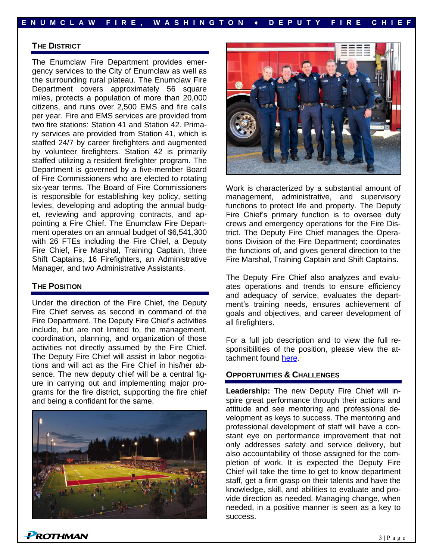## **THE DISTRICT**

The Enumclaw Fire Department provides emergency services to the City of Enumclaw as well as the surrounding rural plateau. The Enumclaw Fire Department covers approximately 56 square miles, protects a population of more than 20,000 citizens, and runs over 2,500 EMS and fire calls per year. Fire and EMS services are provided from two fire stations: Station 41 and Station 42. Primary services are provided from Station 41, which is staffed 24/7 by career firefighters and augmented by volunteer firefighters. Station 42 is primarily staffed utilizing a resident firefighter program. The Department is governed by a five-member Board of Fire Commissioners who are elected to rotating six-year terms. The Board of Fire Commissioners is responsible for establishing key policy, setting levies, developing and adopting the annual budget, reviewing and approving contracts, and appointing a Fire Chief. The Enumclaw Fire Department operates on an annual budget of \$6,541,300 with 26 FTEs including the Fire Chief, a Deputy Fire Chief, Fire Marshal, Training Captain, three Shift Captains, 16 Firefighters, an Administrative Manager, and two Administrative Assistants.

# **THE POSITION**

Under the direction of the Fire Chief, the Deputy Fire Chief serves as second in command of the Fire Department. The Deputy Fire Chief's activities include, but are not limited to, the management, coordination, planning, and organization of those activities not directly assumed by the Fire Chief. The Deputy Fire Chief will assist in labor negotiations and will act as the Fire Chief in his/her absence. The new deputy chief will be a central figure in carrying out and implementing major programs for the fire district, supporting the fire chief and being a confidant for the same.





Work is characterized by a substantial amount of management, administrative, and supervisory functions to protect life and property. The Deputy Fire Chief's primary function is to oversee duty crews and emergency operations for the Fire District. The Deputy Fire Chief manages the Operations Division of the Fire Department; coordinates the functions of, and gives general direction to the Fire Marshal, Training Captain and Shift Captains.

The Deputy Fire Chief also analyzes and evaluates operations and trends to ensure efficiency and adequacy of service, evaluates the department's training needs, ensures achievement of goals and objectives, and career development of all firefighters.

For a full job description and to view the full responsibilities of the position, please view the attachment found [here.](https://prothman.com/JobFiles/2922/Job%20Description%20Deputy%20Fire%20Chief.pdf)

# **OPPORTUNITIES & CHALLENGES**

**Leadership:** The new Deputy Fire Chief will inspire great performance through their actions and attitude and see mentoring and professional development as keys to success. The mentoring and professional development of staff will have a constant eye on performance improvement that not only addresses safety and service delivery, but also accountability of those assigned for the completion of work. It is expected the Deputy Fire Chief will take the time to get to know department staff, get a firm grasp on their talents and have the knowledge, skill, and abilities to evaluate and provide direction as needed. Managing change, when needed, in a positive manner is seen as a key to success.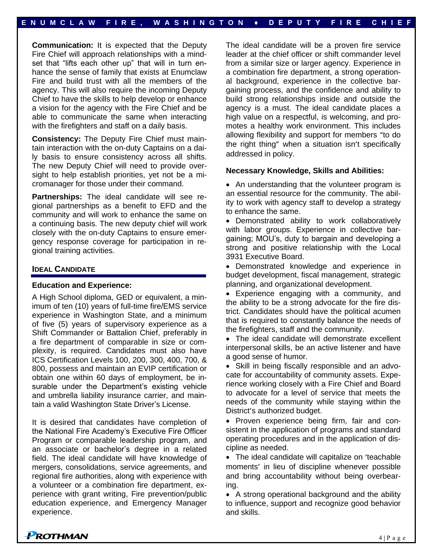**Communication:** It is expected that the Deputy Fire Chief will approach relationships with a mindset that "lifts each other up" that will in turn enhance the sense of family that exists at Enumclaw Fire and build trust with all the members of the agency. This will also require the incoming Deputy Chief to have the skills to help develop or enhance a vision for the agency with the Fire Chief and be able to communicate the same when interacting with the firefighters and staff on a daily basis.

**Consistency:** The Deputy Fire Chief must maintain interaction with the on-duty Captains on a daily basis to ensure consistency across all shifts. The new Deputy Chief will need to provide oversight to help establish priorities, yet not be a micromanager for those under their command.

**Partnerships:** The ideal candidate will see regional partnerships as a benefit to EFD and the community and will work to enhance the same on a continuing basis. The new deputy chief will work closely with the on-duty Captains to ensure emergency response coverage for participation in regional training activities.

# **IDEAL CANDIDATE**

#### **Education and Experience:**

A High School diploma, GED or equivalent, a minimum of ten (10) years of full-time fire/EMS service experience in Washington State, and a minimum of five (5) years of supervisory experience as a Shift Commander or Battalion Chief, preferably in a fire department of comparable in size or complexity, is required. Candidates must also have ICS Certification Levels 100, 200, 300, 400, 700, & 800, possess and maintain an EVIP certification or obtain one within 60 days of employment, be insurable under the Department's existing vehicle and umbrella liability insurance carrier, and maintain a valid Washington State Driver's License.

It is desired that candidates have completion of the National Fire Academy's Executive Fire Officer Program or comparable leadership program, and an associate or bachelor's degree in a related field. The ideal candidate will have knowledge of mergers, consolidations, service agreements, and regional fire authorities, along with experience with a volunteer or a combination fire department, experience with grant writing, Fire prevention/public education experience, and Emergency Manager experience.

The ideal candidate will be a proven fire service leader at the chief officer or shift commander level from a similar size or larger agency. Experience in a combination fire department, a strong operational background, experience in the collective bargaining process, and the confidence and ability to build strong relationships inside and outside the agency is a must. The ideal candidate places a high value on a respectful, is welcoming, and promotes a healthy work environment. This includes allowing flexibility and support for members "to do the right thing" when a situation isn't specifically addressed in policy.

#### **Necessary Knowledge, Skills and Abilities:**

• An understanding that the volunteer program is an essential resource for the community. The ability to work with agency staff to develop a strategy to enhance the same.

• Demonstrated ability to work collaboratively with labor groups. Experience in collective bargaining; MOU's, duty to bargain and developing a strong and positive relationship with the Local 3931 Executive Board.

• Demonstrated knowledge and experience in budget development, fiscal management, strategic planning, and organizational development.

• Experience engaging with a community, and the ability to be a strong advocate for the fire district. Candidates should have the political acumen that is required to constantly balance the needs of the firefighters, staff and the community.

• The ideal candidate will demonstrate excellent interpersonal skills, be an active listener and have a good sense of humor.

• Skill in being fiscally responsible and an advocate for accountability of community assets. Experience working closely with a Fire Chief and Board to advocate for a level of service that meets the needs of the community while staying within the District's authorized budget.

• Proven experience being firm, fair and consistent in the application of programs and standard operating procedures and in the application of discipline as needed.

• The ideal candidate will capitalize on 'teachable moments' in lieu of discipline whenever possible and bring accountability without being overbearing.

• A strong operational background and the ability to influence, support and recognize good behavior and skills.